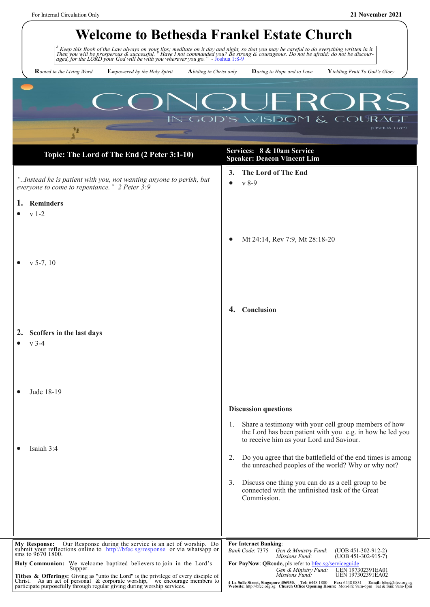| <b>Welcome to Bethesda Frankel Estate Church</b>                                                                                                                                                                                          |                                                                                                                                                                                                                                                                                       |  |  |  |  |
|-------------------------------------------------------------------------------------------------------------------------------------------------------------------------------------------------------------------------------------------|---------------------------------------------------------------------------------------------------------------------------------------------------------------------------------------------------------------------------------------------------------------------------------------|--|--|--|--|
| <sup>8</sup> Keep this Book of the Law always on your lips; meditate on it day and night, so that you may be careful to do everything written in it.<br>Then you will be prosperous & successful. Have I not commanded you? Be strong & c |                                                                                                                                                                                                                                                                                       |  |  |  |  |
| <b>R</b> ooted in the Living Word<br><b>Empowered by the Holy Spirit</b>                                                                                                                                                                  | $Y$ ielding Fruit To God's Glory<br>Abiding in Christ only<br><b>Daring to Hope and to Love</b>                                                                                                                                                                                       |  |  |  |  |
| – RO<br><b>GOD'S WISDO</b><br>$\mathcal{E}$<br><b>COUR</b><br>$IOSHUA 1:8-9$<br>14                                                                                                                                                        |                                                                                                                                                                                                                                                                                       |  |  |  |  |
| Topic: The Lord of The End (2 Peter 3:1-10)                                                                                                                                                                                               | Services: 8 & 10am Service<br><b>Speaker: Deacon Vincent Lim</b>                                                                                                                                                                                                                      |  |  |  |  |
| "Instead he is patient with you, not wanting anyone to perish, but<br>everyone to come to repentance." 2 Peter 3:9                                                                                                                        | The Lord of The End<br>3.<br>$v 8-9$<br>$\bullet$                                                                                                                                                                                                                                     |  |  |  |  |
| <b>Reminders</b><br>1.<br>$v 1-2$                                                                                                                                                                                                         |                                                                                                                                                                                                                                                                                       |  |  |  |  |
|                                                                                                                                                                                                                                           |                                                                                                                                                                                                                                                                                       |  |  |  |  |
|                                                                                                                                                                                                                                           | Mt 24:14, Rev 7:9, Mt 28:18-20                                                                                                                                                                                                                                                        |  |  |  |  |
| $v$ 5-7, 10                                                                                                                                                                                                                               |                                                                                                                                                                                                                                                                                       |  |  |  |  |
|                                                                                                                                                                                                                                           |                                                                                                                                                                                                                                                                                       |  |  |  |  |
|                                                                                                                                                                                                                                           |                                                                                                                                                                                                                                                                                       |  |  |  |  |
|                                                                                                                                                                                                                                           | 4.<br><b>Conclusion</b>                                                                                                                                                                                                                                                               |  |  |  |  |
| 2.<br>Scoffers in the last days                                                                                                                                                                                                           |                                                                                                                                                                                                                                                                                       |  |  |  |  |
| $v$ 3-4                                                                                                                                                                                                                                   |                                                                                                                                                                                                                                                                                       |  |  |  |  |
|                                                                                                                                                                                                                                           |                                                                                                                                                                                                                                                                                       |  |  |  |  |
|                                                                                                                                                                                                                                           |                                                                                                                                                                                                                                                                                       |  |  |  |  |
| Jude 18-19                                                                                                                                                                                                                                |                                                                                                                                                                                                                                                                                       |  |  |  |  |
|                                                                                                                                                                                                                                           | <b>Discussion questions</b><br>Share a testimony with your cell group members of how<br>1.                                                                                                                                                                                            |  |  |  |  |
|                                                                                                                                                                                                                                           | the Lord has been patient with you e.g. in how he led you<br>to receive him as your Lord and Saviour.                                                                                                                                                                                 |  |  |  |  |
| Isaiah 3:4                                                                                                                                                                                                                                | 2.<br>Do you agree that the battlefield of the end times is among                                                                                                                                                                                                                     |  |  |  |  |
|                                                                                                                                                                                                                                           | the unreached peoples of the world? Why or why not?                                                                                                                                                                                                                                   |  |  |  |  |
|                                                                                                                                                                                                                                           | 3.<br>Discuss one thing you can do as a cell group to be<br>connected with the unfinished task of the Great                                                                                                                                                                           |  |  |  |  |
|                                                                                                                                                                                                                                           | Commission.                                                                                                                                                                                                                                                                           |  |  |  |  |
|                                                                                                                                                                                                                                           |                                                                                                                                                                                                                                                                                       |  |  |  |  |
| My Response: Our Response during the service is an act of worship. Do submit your reflections online to http://bfec.sg/response or via whatsapp or                                                                                        | <b>For Internet Banking:</b>                                                                                                                                                                                                                                                          |  |  |  |  |
| sms to 9670 1800.<br>Holy Communion: We welcome baptized believers to join in the Lord's                                                                                                                                                  | Gen & Ministry Fund:<br>Bank Code: 7375<br>$(UOB 451-302-912-2)$<br>$(UOB 451-302-915-7)$<br>Missions Fund:<br>For PayNow: QRcode, pls refer to <b>bfec</b> .sg/serviceguide                                                                                                          |  |  |  |  |
| Supper.<br>Tithes & Offerings: Giving as "unto the Lord" is the privilege of every disciple of Christ. As an act of personal & corporate worship, we encourage members to                                                                 | UEN 197302391EA01<br>Gen & Ministry Fund:<br>Missions Fund:<br><b>UEN 197302391EA02</b><br>4 La Salle Street, Singapore 456930. Tel: 6448 1800 Fax: 6448 0831 Email: bfec@bfec.org.sg<br>Website: http://bfec.org.sg Church Office Opening Hours: Mon-Fri: 9am-6pm Sat & Sun: 9am-1pm |  |  |  |  |
| participate purposefully through regular giving during worship services.                                                                                                                                                                  |                                                                                                                                                                                                                                                                                       |  |  |  |  |